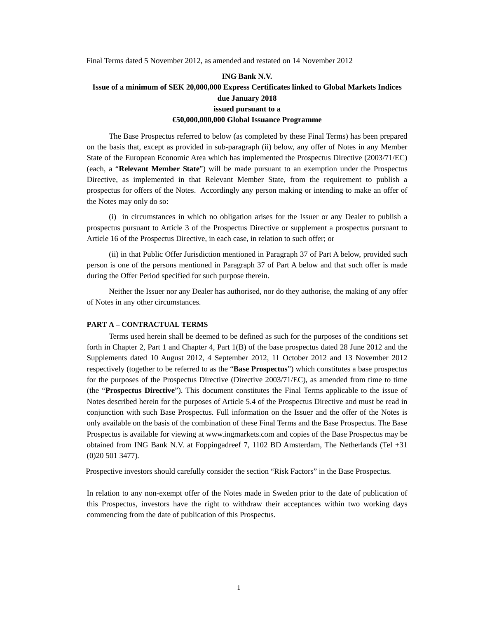Final Terms dated 5 November 2012, as amended and restated on 14 November 2012

## **ING Bank N.V. Issue of a minimum of SEK 20,000,000 Express Certificates linked to Global Markets Indices due January 2018 issued pursuant to a €50,000,000,000 Global Issuance Programme**

The Base Prospectus referred to below (as completed by these Final Terms) has been prepared on the basis that, except as provided in sub-paragraph (ii) below, any offer of Notes in any Member State of the European Economic Area which has implemented the Prospectus Directive (2003/71/EC) (each, a "**Relevant Member State**") will be made pursuant to an exemption under the Prospectus Directive, as implemented in that Relevant Member State, from the requirement to publish a prospectus for offers of the Notes. Accordingly any person making or intending to make an offer of the Notes may only do so:

(i) in circumstances in which no obligation arises for the Issuer or any Dealer to publish a prospectus pursuant to Article 3 of the Prospectus Directive or supplement a prospectus pursuant to Article 16 of the Prospectus Directive, in each case, in relation to such offer; or

(ii) in that Public Offer Jurisdiction mentioned in Paragraph 37 of Part A below, provided such person is one of the persons mentioned in Paragraph 37 of Part A below and that such offer is made during the Offer Period specified for such purpose therein.

Neither the Issuer nor any Dealer has authorised, nor do they authorise, the making of any offer of Notes in any other circumstances.

#### **PART A – CONTRACTUAL TERMS**

Terms used herein shall be deemed to be defined as such for the purposes of the conditions set forth in Chapter 2, Part 1 and Chapter 4, Part 1(B) of the base prospectus dated 28 June 2012 and the Supplements dated 10 August 2012, 4 September 2012, 11 October 2012 and 13 November 2012 respectively (together to be referred to as the "**Base Prospectus**") which constitutes a base prospectus for the purposes of the Prospectus Directive (Directive 2003/71/EC), as amended from time to time (the "**Prospectus Directive**"). This document constitutes the Final Terms applicable to the issue of Notes described herein for the purposes of Article 5.4 of the Prospectus Directive and must be read in conjunction with such Base Prospectus. Full information on the Issuer and the offer of the Notes is only available on the basis of the combination of these Final Terms and the Base Prospectus. The Base Prospectus is available for viewing at www.ingmarkets.com and copies of the Base Prospectus may be obtained from ING Bank N.V. at Foppingadreef 7, 1102 BD Amsterdam, The Netherlands (Tel +31 (0)20 501 3477)*.* 

Prospective investors should carefully consider the section "Risk Factors" in the Base Prospectus*.*

In relation to any non-exempt offer of the Notes made in Sweden prior to the date of publication of this Prospectus, investors have the right to withdraw their acceptances within two working days commencing from the date of publication of this Prospectus.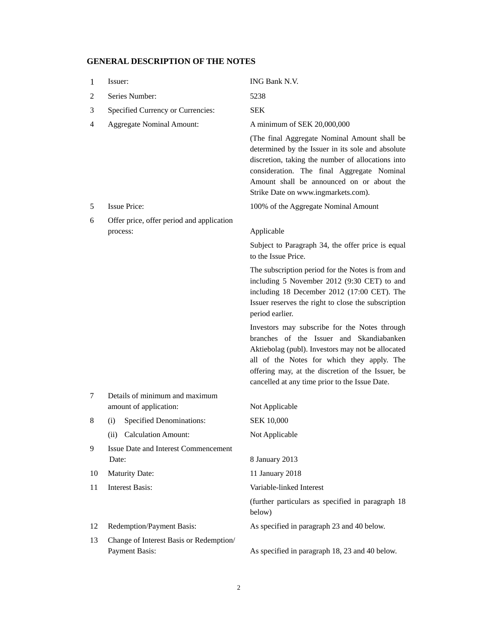# **GENERAL DESCRIPTION OF THE NOTES**

| 1  | Issuer:                                                          | ING Bank N.V.                                                                                                                                                                                                                                                                                       |
|----|------------------------------------------------------------------|-----------------------------------------------------------------------------------------------------------------------------------------------------------------------------------------------------------------------------------------------------------------------------------------------------|
| 2  | Series Number:                                                   | 5238                                                                                                                                                                                                                                                                                                |
| 3  | Specified Currency or Currencies:                                | <b>SEK</b>                                                                                                                                                                                                                                                                                          |
| 4  | <b>Aggregate Nominal Amount:</b>                                 | A minimum of SEK 20,000,000                                                                                                                                                                                                                                                                         |
|    |                                                                  | (The final Aggregate Nominal Amount shall be<br>determined by the Issuer in its sole and absolute<br>discretion, taking the number of allocations into<br>consideration. The final Aggregate Nominal<br>Amount shall be announced on or about the<br>Strike Date on www.ingmarkets.com).            |
| 5  | <b>Issue Price:</b>                                              | 100% of the Aggregate Nominal Amount                                                                                                                                                                                                                                                                |
| 6  | Offer price, offer period and application                        |                                                                                                                                                                                                                                                                                                     |
|    | process:                                                         | Applicable                                                                                                                                                                                                                                                                                          |
|    |                                                                  | Subject to Paragraph 34, the offer price is equal<br>to the Issue Price.                                                                                                                                                                                                                            |
|    |                                                                  | The subscription period for the Notes is from and<br>including 5 November 2012 (9:30 CET) to and<br>including 18 December 2012 (17:00 CET). The<br>Issuer reserves the right to close the subscription<br>period earlier.                                                                           |
|    |                                                                  | Investors may subscribe for the Notes through<br>branches of the Issuer and Skandiabanken<br>Aktiebolag (publ). Investors may not be allocated<br>all of the Notes for which they apply. The<br>offering may, at the discretion of the Issuer, be<br>cancelled at any time prior to the Issue Date. |
| 7  | Details of minimum and maximum                                   |                                                                                                                                                                                                                                                                                                     |
|    | amount of application:                                           | Not Applicable                                                                                                                                                                                                                                                                                      |
| 8  | (i) Specified Denominations:                                     | <b>SEK 10,000</b>                                                                                                                                                                                                                                                                                   |
|    | <b>Calculation Amount:</b><br>(ii)                               | Not Applicable                                                                                                                                                                                                                                                                                      |
| 9  | <b>Issue Date and Interest Commencement</b><br>Date:             | 8 January 2013                                                                                                                                                                                                                                                                                      |
| 10 | <b>Maturity Date:</b>                                            | 11 January 2018                                                                                                                                                                                                                                                                                     |
| 11 | <b>Interest Basis:</b>                                           | Variable-linked Interest                                                                                                                                                                                                                                                                            |
|    |                                                                  | (further particulars as specified in paragraph 18<br>below)                                                                                                                                                                                                                                         |
| 12 | Redemption/Payment Basis:                                        | As specified in paragraph 23 and 40 below.                                                                                                                                                                                                                                                          |
| 13 | Change of Interest Basis or Redemption/<br><b>Payment Basis:</b> | As specified in paragraph 18, 23 and 40 below.                                                                                                                                                                                                                                                      |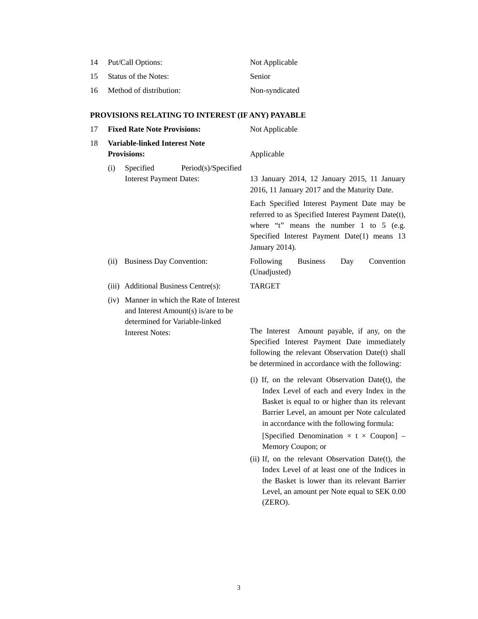| 14 | Put/Call Options:       | Not Applicable |
|----|-------------------------|----------------|
| 15 | Status of the Notes:    | Senior         |
| 16 | Method of distribution: | Non-syndicated |

# **PROVISIONS RELATING TO INTEREST (IF ANY) PAYABLE**

| 17 |      | <b>Fixed Rate Note Provisions:</b>                                                                                                           | Not Applicable                                                                                                                                                                                                                                                                                                              |
|----|------|----------------------------------------------------------------------------------------------------------------------------------------------|-----------------------------------------------------------------------------------------------------------------------------------------------------------------------------------------------------------------------------------------------------------------------------------------------------------------------------|
| 18 |      | <b>Variable-linked Interest Note</b><br><b>Provisions:</b>                                                                                   | Applicable                                                                                                                                                                                                                                                                                                                  |
|    | (i)  | Specified<br>Period(s)/Specified<br><b>Interest Payment Dates:</b>                                                                           | 13 January 2014, 12 January 2015, 11 January<br>2016, 11 January 2017 and the Maturity Date.                                                                                                                                                                                                                                |
|    |      |                                                                                                                                              | Each Specified Interest Payment Date may be<br>referred to as Specified Interest Payment Date(t),<br>where "t" means the number 1 to 5 (e.g.<br>Specified Interest Payment Date(1) means 13<br>January 2014).                                                                                                               |
|    | (ii) | <b>Business Day Convention:</b>                                                                                                              | Following<br><b>Business</b><br>Convention<br>Day<br>(Unadjusted)                                                                                                                                                                                                                                                           |
|    |      | (iii) Additional Business Centre(s):                                                                                                         | <b>TARGET</b>                                                                                                                                                                                                                                                                                                               |
|    |      | (iv) Manner in which the Rate of Interest<br>and Interest Amount(s) is/are to be<br>determined for Variable-linked<br><b>Interest Notes:</b> | The Interest Amount payable, if any, on the<br>Specified Interest Payment Date immediately                                                                                                                                                                                                                                  |
|    |      |                                                                                                                                              | following the relevant Observation Date(t) shall<br>be determined in accordance with the following:                                                                                                                                                                                                                         |
|    |      |                                                                                                                                              | (i) If, on the relevant Observation Date(t), the<br>Index Level of each and every Index in the<br>Basket is equal to or higher than its relevant<br>Barrier Level, an amount per Note calculated<br>in accordance with the following formula:<br>[Specified Denomination $\times$ t $\times$ Coupon] –<br>Memory Coupon; or |

(ii) If, on the relevant Observation Date(t), the Index Level of at least one of the Indices in the Basket is lower than its relevant Barrier Level, an amount per Note equal to SEK 0.00 (ZERO).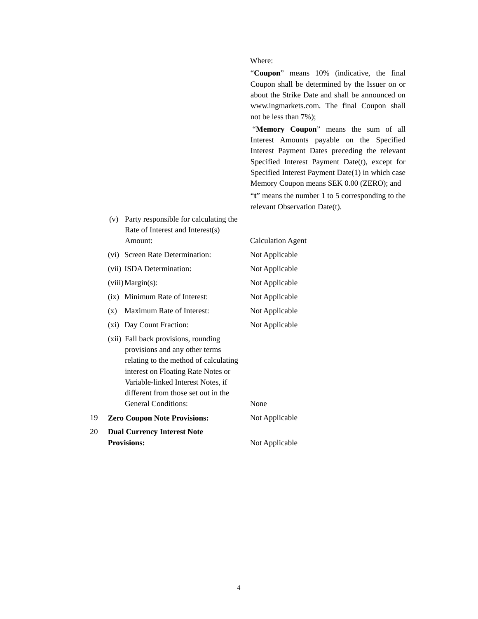#### Where:

"**Coupon**" means 10% (indicative, the final Coupon shall be determined by the Issuer on or about the Strike Date and shall be announced on www.ingmarkets.com. The final Coupon shall not be less than 7%);

 "**Memory Coupon**" means the sum of all Interest Amounts payable on the Specified Interest Payment Dates preceding the relevant Specified Interest Payment Date(t), except for Specified Interest Payment Date(1) in which case Memory Coupon means SEK 0.00 (ZERO); and

"**t**" means the number 1 to 5 corresponding to the relevant Observation Date(t).

(v) Party responsible for calculating the Rate of Interest and Interest(s) Amount: Calculation Agent (vi) Screen Rate Determination: Not Applicable (vii) ISDA Determination: Not Applicable (viii) Margin(s): Not Applicable (ix) Minimum Rate of Interest: Not Applicable (x) Maximum Rate of Interest: Not Applicable (xi) Day Count Fraction: Not Applicable (xii) Fall back provisions, rounding provisions and any other terms relating to the method of calculating interest on Floating Rate Notes or Variable-linked Interest Notes, if different from those set out in the General Conditions: None 19 **Zero Coupon Note Provisions:** Not Applicable 20 **Dual Currency Interest Note Provisions:** Not Applicable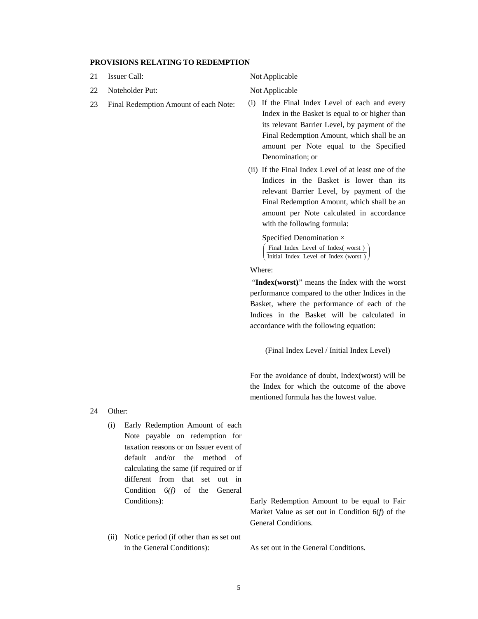#### **PROVISIONS RELATING TO REDEMPTION**

- 21 Issuer Call: Not Applicable
- 22 Noteholder Put: Not Applicable
- 

- 23 Final Redemption Amount of each Note: (i) If the Final Index Level of each and every Index in the Basket is equal to or higher than its relevant Barrier Level, by payment of the Final Redemption Amount, which shall be an amount per Note equal to the Specified Denomination; or
	- (ii) If the Final Index Level of at least one of the Indices in the Basket is lower than its relevant Barrier Level, by payment of the Final Redemption Amount, which shall be an amount per Note calculated in accordance with the following formula:

Specified Denomination × ſ Final Index Level of Index(worst)

j Initial Index Level of Index (worst )  $\int$ Ι I I ∖

Where:

"Index(worst)" means the Index with the worst performance compared to the other Indices in the Basket, where the performance of each of the Indices in the Basket will be calculated in accordance with the following equation:

(Final Index Level / Initial Index Level)

For the avoidance of doubt, Index(worst) will be the Index for which the outcome of the above mentioned formula has the lowest value.

- 24 Other:
	- (i) Early Redemption Amount of each Note payable on redemption for taxation reasons or on Issuer event of default and/or the method of calculating the same (if required or if different from that set out in Condition 6*(f)* of the General
	- (ii) Notice period (if other than as set out in the General Conditions): As set out in the General Conditions.

Conditions): Early Redemption Amount to be equal to Fair Market Value as set out in Condition 6(*f*) of the General Conditions.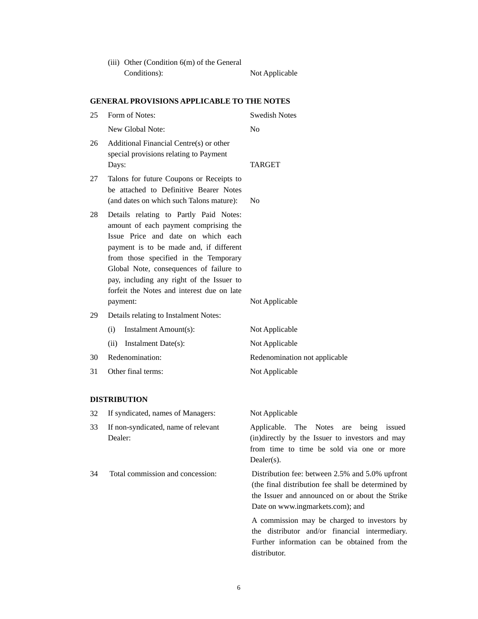| (iii) Other (Condition $6(m)$ of the General |                |
|----------------------------------------------|----------------|
| Conditions):                                 | Not Applicable |

### **GENERAL PROVISIONS APPLICABLE TO THE NOTES**

| 25 | Form of Notes:                                                                                                                                                                                                                                                                                                                                                                              | <b>Swedish Notes</b>             |
|----|---------------------------------------------------------------------------------------------------------------------------------------------------------------------------------------------------------------------------------------------------------------------------------------------------------------------------------------------------------------------------------------------|----------------------------------|
|    | New Global Note:                                                                                                                                                                                                                                                                                                                                                                            | N <sub>0</sub>                   |
| 26 | Additional Financial Centre(s) or other<br>special provisions relating to Payment<br>Days:                                                                                                                                                                                                                                                                                                  | <b>TARGET</b>                    |
| 27 | Talons for future Coupons or Receipts to<br>be attached to Definitive Bearer Notes                                                                                                                                                                                                                                                                                                          |                                  |
| 28 | (and dates on which such Talons mature):<br>Details relating to Partly Paid Notes:<br>amount of each payment comprising the<br>Issue Price and date on which each<br>payment is to be made and, if different<br>from those specified in the Temporary<br>Global Note, consequences of failure to<br>pay, including any right of the Issuer to<br>forfeit the Notes and interest due on late | N <sub>0</sub>                   |
|    | payment:                                                                                                                                                                                                                                                                                                                                                                                    | Not Applicable                   |
| 29 | Details relating to Instalment Notes:<br>Instalment Amount(s):<br>(i)<br>(ii)<br>Instalment Date(s):                                                                                                                                                                                                                                                                                        | Not Applicable<br>Not Applicable |
| 30 | Redenomination:                                                                                                                                                                                                                                                                                                                                                                             | Redenomination                   |
| 31 | Other final terms:                                                                                                                                                                                                                                                                                                                                                                          | Not Applicable                   |

## **DISTRIBUTION**

- 32 If syndicated, names of Managers: Not Applicable
- 33 If non-syndicated, name of relevant Dealer:

Applicable. The Notes are being issued (in)directly by the Issuer to investors and may from time to time be sold via one or more Dealer(s).

not applicable

34 Total commission and concession: Distribution fee: between 2.5% and 5.0% upfront (the final distribution fee shall be determined by the Issuer and announced on or about the Strike Date on www.ingmarkets.com); and

> A commission may be charged to investors by the distributor and/or financial intermediary. Further information can be obtained from the distributor.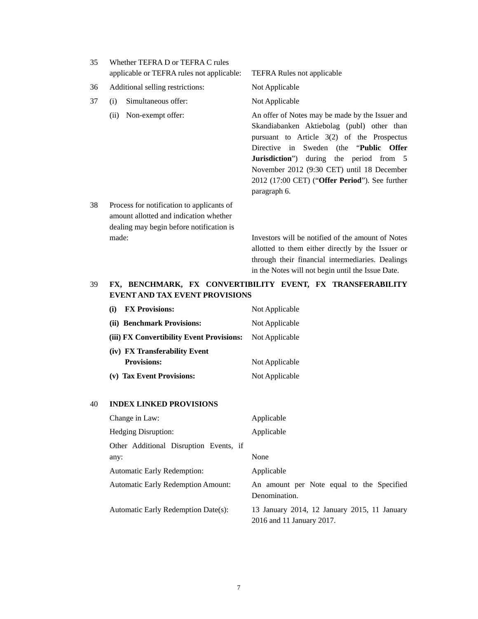| 35. | Whether TEFRA D or TEFRA C rules<br>applicable or TEFRA rules not applicable: | <b>TEFRA Rules not applicable</b>                                                                                                                                                                                                                                                                                                                                    |
|-----|-------------------------------------------------------------------------------|----------------------------------------------------------------------------------------------------------------------------------------------------------------------------------------------------------------------------------------------------------------------------------------------------------------------------------------------------------------------|
| 36  | Additional selling restrictions:                                              | Not Applicable                                                                                                                                                                                                                                                                                                                                                       |
| 37  | Simultaneous offer:<br>(i)                                                    | Not Applicable                                                                                                                                                                                                                                                                                                                                                       |
|     | (ii) Non-exempt offer:                                                        | An offer of Notes may be made by the Issuer and<br>Skandiabanken Aktiebolag (publ) other than<br>pursuant to Article $3(2)$ of the Prospectus<br>Directive in Sweden (the " <b>Public Offer</b><br><b>Jurisdiction</b> ") during the period from 5<br>November 2012 (9:30 CET) until 18 December<br>$2012$ (17:00 CET) ("Offer Period"). See further<br>paragraph 6. |

38 Process for notification to applicants of amount allotted and indication whether dealing may begin before notification is made: Investors will be notified of the amount of Notes

allotted to them either directly by the Issuer or through their financial intermediaries. Dealings in the Notes will not begin until the Issue Date.

## 39 **FX, BENCHMARK, FX CONVERTIBILITY EVENT, FX TRANSFERABILITY EVENT AND TAX EVENT PROVISIONS**

| <b>FX Provisions:</b><br>(i)              | Not Applicable |
|-------------------------------------------|----------------|
| (ii) Benchmark Provisions:                | Not Applicable |
| (iii) FX Convertibility Event Provisions: | Not Applicable |
| (iv) FX Transferability Event             |                |
| <b>Provisions:</b>                        | Not Applicable |
| (v) Tax Event Provisions:                 | Not Applicable |

#### 40 **INDEX LINKED PROVISIONS**

| Change in Law:                            | Applicable                                                                |
|-------------------------------------------|---------------------------------------------------------------------------|
| <b>Hedging Disruption:</b>                | Applicable                                                                |
| Other Additional Disruption Events, if    |                                                                           |
| any:                                      | None                                                                      |
| <b>Automatic Early Redemption:</b>        | Applicable                                                                |
| <b>Automatic Early Redemption Amount:</b> | An amount per Note equal to the Specified<br>Denomination.                |
| Automatic Early Redemption Date(s):       | 13 January 2014, 12 January 2015, 11 January<br>2016 and 11 January 2017. |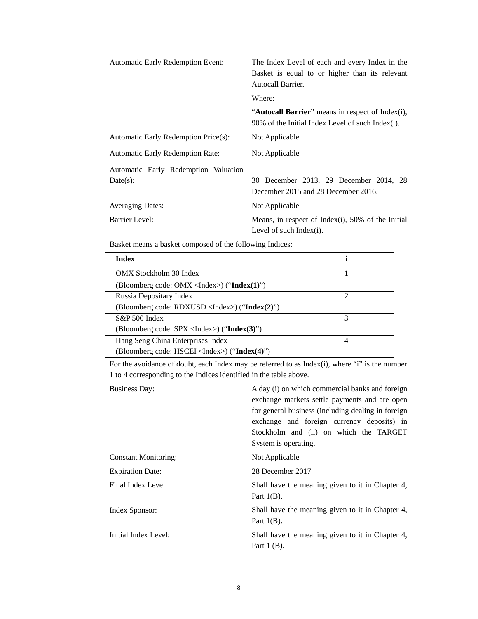| Automatic Early Redemption Event:       | The Index Level of each and every Index in the<br>Basket is equal to or higher than its relevant<br>Autocall Barrier. |
|-----------------------------------------|-----------------------------------------------------------------------------------------------------------------------|
|                                         | Where:                                                                                                                |
|                                         | " <b>Autocall Barrier</b> " means in respect of Index(i),<br>90% of the Initial Index Level of such Index(i).         |
| Automatic Early Redemption Price(s):    | Not Applicable                                                                                                        |
| <b>Automatic Early Redemption Rate:</b> | Not Applicable                                                                                                        |
| Automatic Early Redemption Valuation    |                                                                                                                       |
| Date(s):                                | 30 December 2013, 29 December 2014, 28<br>December 2015 and 28 December 2016.                                         |
| <b>Averaging Dates:</b>                 | Not Applicable                                                                                                        |
| <b>Barrier Level:</b>                   | Means, in respect of Index(i), 50% of the Initial<br>Level of such Index $(i)$ .                                      |

Basket means a basket composed of the following Indices:

| Index                                                              |   |
|--------------------------------------------------------------------|---|
| OMX Stockholm 30 Index                                             |   |
| (Bloomberg code: OMX <index>) ("<math>Index(1)</math>")</index>    |   |
| Russia Depositary Index                                            |   |
| (Bloomberg code: RDXUSD <index>) ("<math>Index(2)</math>")</index> |   |
| $S\&P 500$ Index                                                   |   |
| (Bloomberg code: SPX <index>) ("<math>Index(3)</math>")</index>    |   |
| Hang Seng China Enterprises Index                                  | 4 |
| (Bloomberg code: HSCEI <index>) ("<math>Index(4)</math>")</index>  |   |

For the avoidance of doubt, each Index may be referred to as Index(i), where "i" is the number 1 to 4 corresponding to the Indices identified in the table above.

Business Day: A day (i) on which commercial banks and foreign exchange markets settle payments and are open for general business (including dealing in foreign exchange and foreign currency deposits) in Stockholm and (ii) on which the TARGET System is operating. Constant Monitoring: Not Applicable Expiration Date: 28 December 2017 Final Index Level: Shall have the meaning given to it in Chapter 4, Part  $1(B)$ . Index Sponsor: Shall have the meaning given to it in Chapter 4, Part  $1(B)$ . Initial Index Level: Shall have the meaning given to it in Chapter 4, Part 1 (B).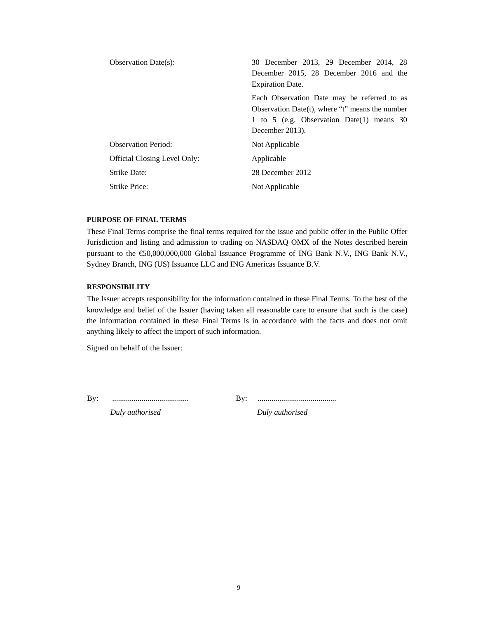| <b>Observation Date(s):</b>  | 30 December 2013, 29 December 2014, 28<br>December 2015, 28 December 2016 and the<br><b>Expiration Date.</b>                                                     |
|------------------------------|------------------------------------------------------------------------------------------------------------------------------------------------------------------|
|                              | Each Observation Date may be referred to as<br>Observation Date(t), where "t" means the number<br>1 to 5 (e.g. Observation Date(1) means $30$<br>December 2013). |
| <b>Observation Period:</b>   | Not Applicable                                                                                                                                                   |
| Official Closing Level Only: | Applicable                                                                                                                                                       |
| Strike Date:                 | 28 December 2012                                                                                                                                                 |
| Strike Price:                | Not Applicable                                                                                                                                                   |

#### **PURPOSE OF FINAL TERMS**

These Final Terms comprise the final terms required for the issue and public offer in the Public Offer Jurisdiction and listing and admission to trading on NASDAQ OMX of the Notes described herein pursuant to the €50,000,000,000 Global Issuance Programme of ING Bank N.V., ING Bank N.V., Sydney Branch, ING (US) Issuance LLC and ING Americas Issuance B.V.

#### **RESPONSIBILITY**

The Issuer accepts responsibility for the information contained in these Final Terms. To the best of the knowledge and belief of the Issuer (having taken all reasonable care to ensure that such is the case) the information contained in these Final Terms is in accordance with the facts and does not omit anything likely to affect the import of such information.

Signed on behalf of the Issuer:

By: ....................................... By: ........................................

*Duly authorised Duly authorised*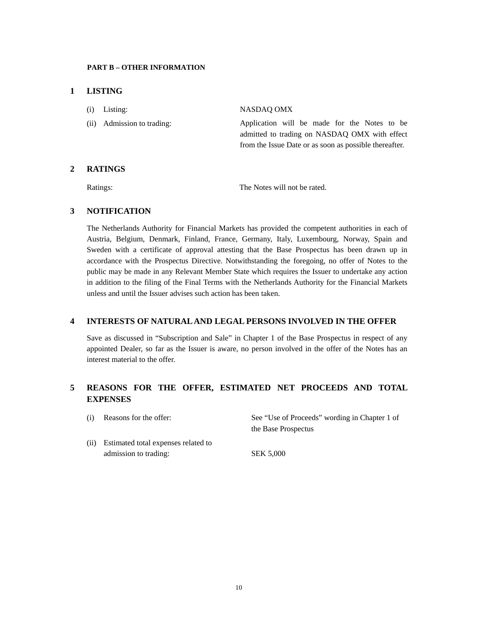#### **PART B – OTHER INFORMATION**

### **1 LISTING**

| $(i)$ Listing:             | NASDAO OMX                                             |
|----------------------------|--------------------------------------------------------|
| (ii) Admission to trading: | Application will be made for the Notes to be           |
|                            | admitted to trading on NASDAQ OMX with effect          |
|                            | from the Issue Date or as soon as possible thereafter. |
|                            |                                                        |

## **2 RATINGS**

Ratings: The Notes will not be rated.

### **3 NOTIFICATION**

The Netherlands Authority for Financial Markets has provided the competent authorities in each of Austria, Belgium, Denmark, Finland, France, Germany, Italy, Luxembourg, Norway, Spain and Sweden with a certificate of approval attesting that the Base Prospectus has been drawn up in accordance with the Prospectus Directive. Notwithstanding the foregoing, no offer of Notes to the public may be made in any Relevant Member State which requires the Issuer to undertake any action in addition to the filing of the Final Terms with the Netherlands Authority for the Financial Markets unless and until the Issuer advises such action has been taken.

### **4 INTERESTS OF NATURAL AND LEGAL PERSONS INVOLVED IN THE OFFER**

Save as discussed in "Subscription and Sale" in Chapter 1 of the Base Prospectus in respect of any appointed Dealer, so far as the Issuer is aware, no person involved in the offer of the Notes has an interest material to the offer.

## **5 REASONS FOR THE OFFER, ESTIMATED NET PROCEEDS AND TOTAL EXPENSES**

| (i) | Reasons for the offer:                   | See "Use of Proceeds" wording in Chapter 1 of |
|-----|------------------------------------------|-----------------------------------------------|
|     |                                          | the Base Prospectus                           |
|     | (ii) Estimated total expenses related to |                                               |
|     | admission to trading:                    | <b>SEK 5.000</b>                              |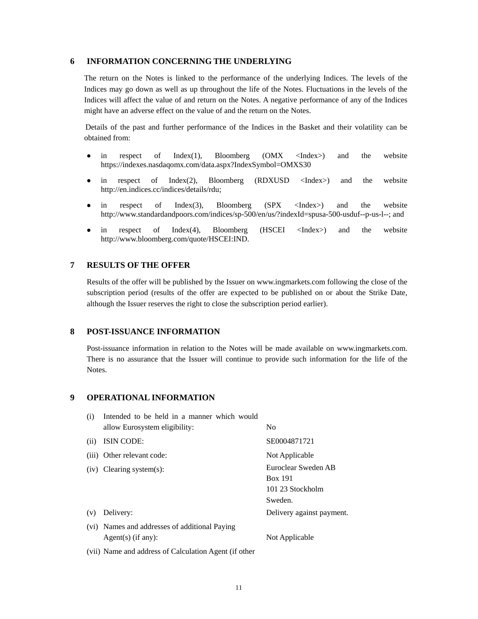### **6 INFORMATION CONCERNING THE UNDERLYING**

The return on the Notes is linked to the performance of the underlying Indices. The levels of the Indices may go down as well as up throughout the life of the Notes. Fluctuations in the levels of the Indices will affect the value of and return on the Notes. A negative performance of any of the Indices might have an adverse effect on the value of and the return on the Notes.

Details of the past and further performance of the Indices in the Basket and their volatility can be obtained from:

- in respect of Index(1), Bloomberg (OMX <Index>) and the website https://indexes.nasdaqomx.com/data.aspx?IndexSymbol=OMXS30
- in respect of Index(2), Bloomberg (RDXUSD <Index>) and the website http://en.indices.cc/indices/details/rdu;
- in respect of Index(3), Bloomberg (SPX <Index>) and the website http://www.standardandpoors.com/indices/sp-500/en/us/?indexId=spusa-500-usduf--p-us-l--; and
- in respect of Index(4), Bloomberg (HSCEI <Index>) and the website http://www.bloomberg.com/quote/HSCEI:IND.

#### **7 RESULTS OF THE OFFER**

Results of the offer will be published by the Issuer on www.ingmarkets.com following the close of the subscription period (results of the offer are expected to be published on or about the Strike Date, although the Issuer reserves the right to close the subscription period earlier).

### **8 POST-ISSUANCE INFORMATION**

Post-issuance information in relation to the Notes will be made available on www.ingmarkets.com. There is no assurance that the Issuer will continue to provide such information for the life of the Notes.

### **9 OPERATIONAL INFORMATION**

| (i)  | Intended to be held in a manner which would           |                           |
|------|-------------------------------------------------------|---------------------------|
|      | allow Eurosystem eligibility:                         | No                        |
| (ii) | ISIN CODE:                                            | SE0004871721              |
|      | (iii) Other relevant code:                            | Not Applicable            |
|      | $(iv)$ Clearing system $(s)$ :                        | Euroclear Sweden AB       |
|      |                                                       | <b>Box 191</b>            |
|      |                                                       | 101 23 Stockholm          |
|      |                                                       | Sweden.                   |
| (v)  | Delivery:                                             | Delivery against payment. |
|      | (vi) Names and addresses of additional Paying         |                           |
|      | $Agent(s)$ (if any):                                  | Not Applicable            |
|      | (vii) Name and address of Calculation Agent (if other |                           |